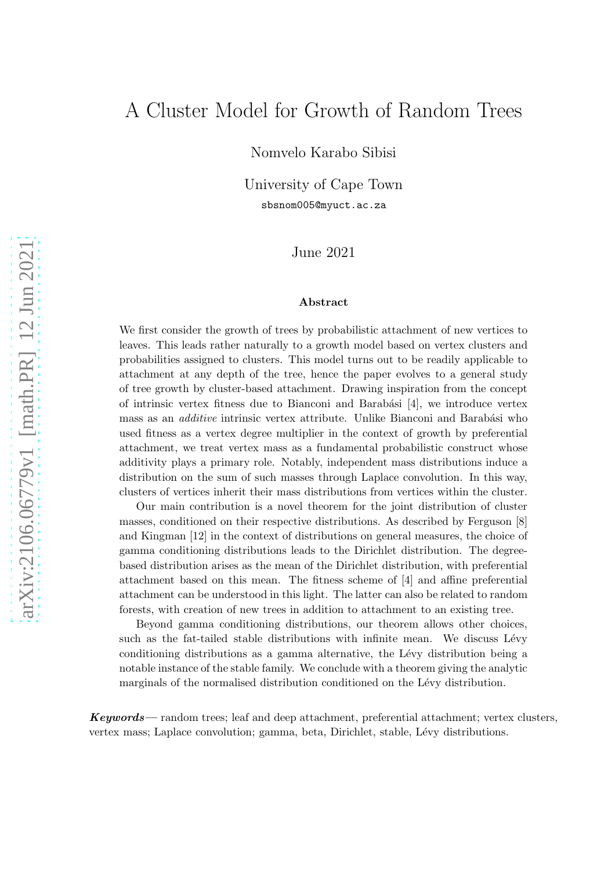# A Cluster Model for Growth of Random Trees

Nomvelo Karabo Sibisi

University of Cape Town sbsnom005@myuct.ac.za

### June 2021

#### Abstract

We first consider the growth of trees by probabilistic attachment of new vertices to leaves. This leads rather naturally to a growth model based on vertex clusters and probabilities assigned to clusters. This model turns out to be readily applicable to attachment at any depth of the tree, hence the paper evolves to a general study of tree growth by cluster-based attachment. Drawing inspiration from the concept of intrinsic vertex fitness due to Bianconi and Barabási  $[4]$ , we introduce vertex mass as an *additive* intrinsic vertex attribute. Unlike Bianconi and Barabási who used fitness as a vertex degree multiplier in the context of growth by preferential attachment, we treat vertex mass as a fundamental probabilistic construct whose additivity plays a primary role. Notably, independent mass distributions induce a distribution on the sum of such masses through Laplace convolution. In this way, clusters of vertices inherit their mass distributions from vertices within the cluster.

Our main contribution is a novel theorem for the joint distribution of cluster masses, conditioned on their respective distributions. As described by Ferguson [\[8](#page-15-1)] and Kingman [\[12](#page-16-0)] in the context of distributions on general measures, the choice of gamma conditioning distributions leads to the Dirichlet distribution. The degreebased distribution arises as the mean of the Dirichlet distribution, with preferential attachment based on this mean. The fitness scheme of [\[4\]](#page-15-0) and affine preferential attachment can be understood in this light. The latter can also be related to random forests, with creation of new trees in addition to attachment to an existing tree.

Beyond gamma conditioning distributions, our theorem allows other choices, such as the fat-tailed stable distributions with infinite mean. We discuss Lévy conditioning distributions as a gamma alternative, the Lévy distribution being a notable instance of the stable family. We conclude with a theorem giving the analytic marginals of the normalised distribution conditioned on the Lévy distribution.

Keywords— random trees; leaf and deep attachment, preferential attachment; vertex clusters, vertex mass; Laplace convolution; gamma, beta, Dirichlet, stable, Lévy distributions.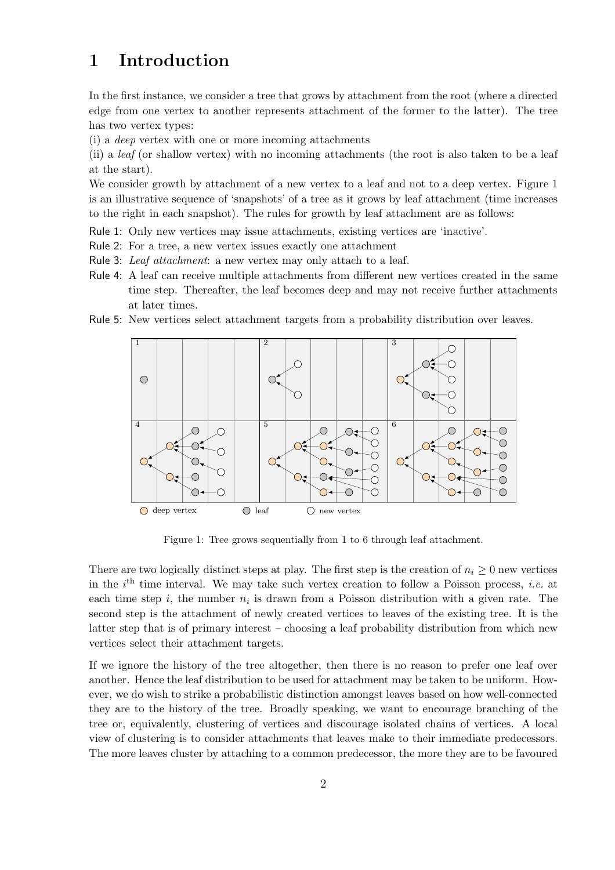# 1 Introduction

In the first instance, we consider a tree that grows by attachment from the root (where a directed edge from one vertex to another represents attachment of the former to the latter). The tree has two vertex types:

(i) a *deep* vertex with one or more incoming attachments

(ii) a *leaf* (or shallow vertex) with no incoming attachments (the root is also taken to be a leaf at the start).

We consider growth by attachment of a new vertex to a leaf and not to a deep vertex. Figure [1](#page-1-0) is an illustrative sequence of 'snapshots' of a tree as it grows by leaf attachment (time increases to the right in each snapshot). The rules for growth by leaf attachment are as follows:

Rule 1: Only new vertices may issue attachments, existing vertices are 'inactive'.

- Rule 2: For a tree, a new vertex issues exactly one attachment
- Rule 3: *Leaf attachment*: a new vertex may only attach to a leaf.
- Rule 4: A leaf can receive multiple attachments from different new vertices created in the same time step. Thereafter, the leaf becomes deep and may not receive further attachments at later times.
- <span id="page-1-0"></span>Rule 5: New vertices select attachment targets from a probability distribution over leaves.



Figure 1: Tree grows sequentially from 1 to 6 through leaf attachment.

There are two logically distinct steps at play. The first step is the creation of  $n_i \geq 0$  new vertices in the  $i<sup>th</sup>$  time interval. We may take such vertex creation to follow a Poisson process, *i.e.* at each time step  $i$ , the number  $n_i$  is drawn from a Poisson distribution with a given rate. The second step is the attachment of newly created vertices to leaves of the existing tree. It is the latter step that is of primary interest – choosing a leaf probability distribution from which new vertices select their attachment targets.

If we ignore the history of the tree altogether, then there is no reason to prefer one leaf over another. Hence the leaf distribution to be used for attachment may be taken to be uniform. However, we do wish to strike a probabilistic distinction amongst leaves based on how well-connected they are to the history of the tree. Broadly speaking, we want to encourage branching of the tree or, equivalently, clustering of vertices and discourage isolated chains of vertices. A local view of clustering is to consider attachments that leaves make to their immediate predecessors. The more leaves cluster by attaching to a common predecessor, the more they are to be favoured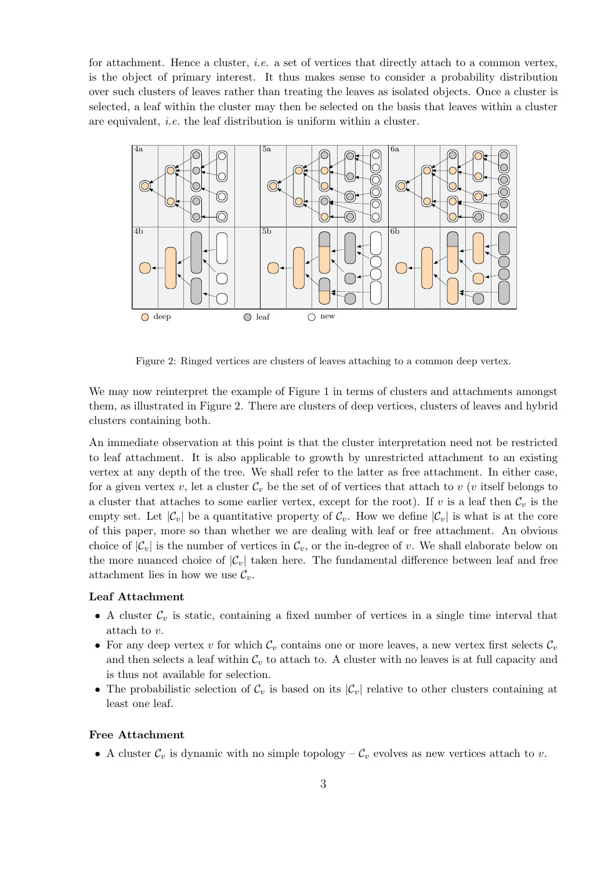for attachment. Hence a cluster, *i.e.* a set of vertices that directly attach to a common vertex, is the object of primary interest. It thus makes sense to consider a probability distribution over such clusters of leaves rather than treating the leaves as isolated objects. Once a cluster is selected, a leaf within the cluster may then be selected on the basis that leaves within a cluster are equivalent, *i.e.* the leaf distribution is uniform within a cluster.

<span id="page-2-0"></span>

Figure 2: Ringed vertices are clusters of leaves attaching to a common deep vertex.

We may now reinterpret the example of Figure [1](#page-1-0) in terms of clusters and attachments amongst them, as illustrated in Figure [2.](#page-2-0) There are clusters of deep vertices, clusters of leaves and hybrid clusters containing both.

An immediate observation at this point is that the cluster interpretation need not be restricted to leaf attachment. It is also applicable to growth by unrestricted attachment to an existing vertex at any depth of the tree. We shall refer to the latter as free attachment. In either case, for a given vertex v, let a cluster  $\mathcal{C}_v$  be the set of of vertices that attach to v (v itself belongs to a cluster that attaches to some earlier vertex, except for the root). If v is a leaf then  $\mathcal{C}_v$  is the empty set. Let  $|\mathcal{C}_v|$  be a quantitative property of  $\mathcal{C}_v$ . How we define  $|\mathcal{C}_v|$  is what is at the core of this paper, more so than whether we are dealing with leaf or free attachment. An obvious choice of  $|\mathcal{C}_v|$  is the number of vertices in  $\mathcal{C}_v$ , or the in-degree of v. We shall elaborate below on the more nuanced choice of  $|\mathcal{C}_v|$  taken here. The fundamental difference between leaf and free attachment lies in how we use  $\mathcal{C}_v$ .

#### Leaf Attachment

- A cluster  $\mathcal{C}_v$  is static, containing a fixed number of vertices in a single time interval that attach to v.
- For any deep vertex v for which  $\mathcal{C}_v$  contains one or more leaves, a new vertex first selects  $\mathcal{C}_v$ and then selects a leaf within  $C_v$  to attach to. A cluster with no leaves is at full capacity and is thus not available for selection.
- The probabilistic selection of  $\mathcal{C}_v$  is based on its  $|\mathcal{C}_v|$  relative to other clusters containing at least one leaf.

#### Free Attachment

• A cluster  $\mathcal{C}_v$  is dynamic with no simple topology  $-\mathcal{C}_v$  evolves as new vertices attach to v.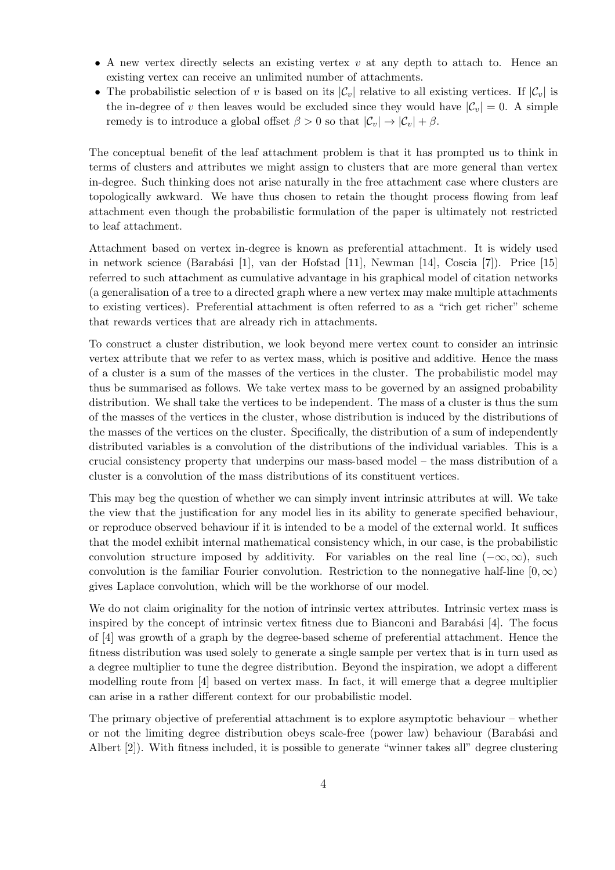- A new vertex directly selects an existing vertex  $v$  at any depth to attach to. Hence an existing vertex can receive an unlimited number of attachments.
- The probabilistic selection of v is based on its  $|\mathcal{C}_v|$  relative to all existing vertices. If  $|\mathcal{C}_v|$  is the in-degree of v then leaves would be excluded since they would have  $|\mathcal{C}_v| = 0$ . A simple remedy is to introduce a global offset  $\beta > 0$  so that  $|\mathcal{C}_v| \to |\mathcal{C}_v| + \beta$ .

The conceptual benefit of the leaf attachment problem is that it has prompted us to think in terms of clusters and attributes we might assign to clusters that are more general than vertex in-degree. Such thinking does not arise naturally in the free attachment case where clusters are topologically awkward. We have thus chosen to retain the thought process flowing from leaf attachment even though the probabilistic formulation of the paper is ultimately not restricted to leaf attachment.

Attachment based on vertex in-degree is known as preferential attachment. It is widely used in network science (Barabási [\[1\]](#page-15-2), van der Hofstad [\[11](#page-16-1)], Newman [\[14](#page-16-2)], Coscia [\[7\]](#page-15-3)). Price [\[15\]](#page-16-3) referred to such attachment as cumulative advantage in his graphical model of citation networks (a generalisation of a tree to a directed graph where a new vertex may make multiple attachments to existing vertices). Preferential attachment is often referred to as a "rich get richer" scheme that rewards vertices that are already rich in attachments.

To construct a cluster distribution, we look beyond mere vertex count to consider an intrinsic vertex attribute that we refer to as vertex mass, which is positive and additive. Hence the mass of a cluster is a sum of the masses of the vertices in the cluster. The probabilistic model may thus be summarised as follows. We take vertex mass to be governed by an assigned probability distribution. We shall take the vertices to be independent. The mass of a cluster is thus the sum of the masses of the vertices in the cluster, whose distribution is induced by the distributions of the masses of the vertices on the cluster. Specifically, the distribution of a sum of independently distributed variables is a convolution of the distributions of the individual variables. This is a crucial consistency property that underpins our mass-based model – the mass distribution of a cluster is a convolution of the mass distributions of its constituent vertices.

This may beg the question of whether we can simply invent intrinsic attributes at will. We take the view that the justification for any model lies in its ability to generate specified behaviour, or reproduce observed behaviour if it is intended to be a model of the external world. It suffices that the model exhibit internal mathematical consistency which, in our case, is the probabilistic convolution structure imposed by additivity. For variables on the real line  $(-\infty,\infty)$ , such convolution is the familiar Fourier convolution. Restriction to the nonnegative half-line  $[0,\infty)$ gives Laplace convolution, which will be the workhorse of our model.

We do not claim originality for the notion of intrinsic vertex attributes. Intrinsic vertex mass is inspired by the concept of intrinsic vertex fitness due to Bianconi and Barabási  $[4]$ . The focus of [\[4](#page-15-0)] was growth of a graph by the degree-based scheme of preferential attachment. Hence the fitness distribution was used solely to generate a single sample per vertex that is in turn used as a degree multiplier to tune the degree distribution. Beyond the inspiration, we adopt a different modelling route from [\[4\]](#page-15-0) based on vertex mass. In fact, it will emerge that a degree multiplier can arise in a rather different context for our probabilistic model.

The primary objective of preferential attachment is to explore asymptotic behaviour – whether or not the limiting degree distribution obeys scale-free (power law) behaviour (Barabási and Albert [\[2\]](#page-15-4)). With fitness included, it is possible to generate "winner takes all" degree clustering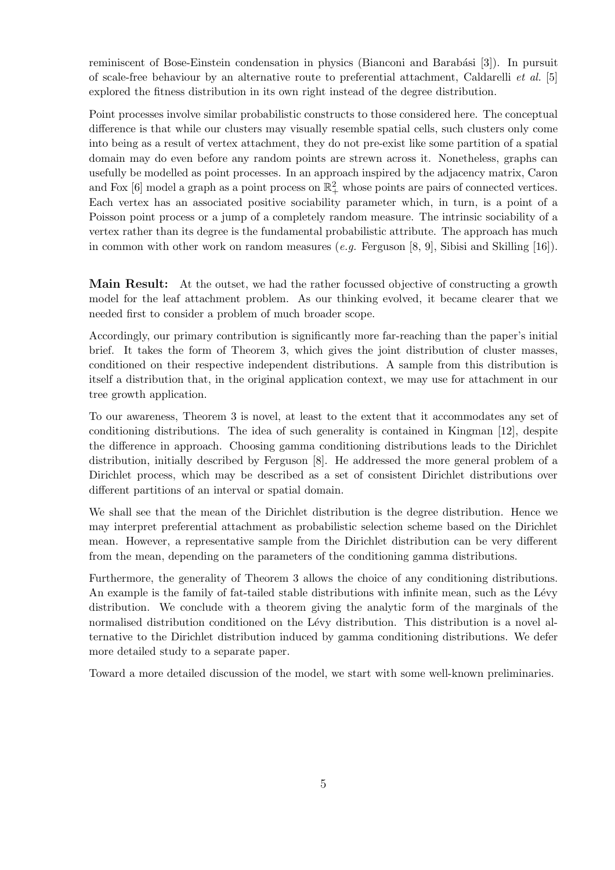reminiscent of Bose-Einstein condensation in physics (Bianconi and Barabási [\[3](#page-15-5)]). In pursuit of scale-free behaviour by an alternative route to preferential attachment, Caldarelli *et al.* [\[5\]](#page-15-6) explored the fitness distribution in its own right instead of the degree distribution.

Point processes involve similar probabilistic constructs to those considered here. The conceptual difference is that while our clusters may visually resemble spatial cells, such clusters only come into being as a result of vertex attachment, they do not pre-exist like some partition of a spatial domain may do even before any random points are strewn across it. Nonetheless, graphs can usefully be modelled as point processes. In an approach inspired by the adjacency matrix, Caron and Fox [\[6](#page-15-7)] model a graph as a point process on  $\mathbb{R}^2_+$  whose points are pairs of connected vertices. Each vertex has an associated positive sociability parameter which, in turn, is a point of a Poisson point process or a jump of a completely random measure. The intrinsic sociability of a vertex rather than its degree is the fundamental probabilistic attribute. The approach has much in common with other work on random measures (*e.g.* Ferguson [\[8](#page-15-1), [9\]](#page-15-8), Sibisi and Skilling [\[16](#page-16-4)]).

Main Result: At the outset, we had the rather focussed objective of constructing a growth model for the leaf attachment problem. As our thinking evolved, it became clearer that we needed first to consider a problem of much broader scope.

Accordingly, our primary contribution is significantly more far-reaching than the paper's initial brief. It takes the form of Theorem [3,](#page-7-0) which gives the joint distribution of cluster masses, conditioned on their respective independent distributions. A sample from this distribution is itself a distribution that, in the original application context, we may use for attachment in our tree growth application.

To our awareness, Theorem [3](#page-7-0) is novel, at least to the extent that it accommodates any set of conditioning distributions. The idea of such generality is contained in Kingman [\[12](#page-16-0)], despite the difference in approach. Choosing gamma conditioning distributions leads to the Dirichlet distribution, initially described by Ferguson [\[8](#page-15-1)]. He addressed the more general problem of a Dirichlet process, which may be described as a set of consistent Dirichlet distributions over different partitions of an interval or spatial domain.

We shall see that the mean of the Dirichlet distribution is the degree distribution. Hence we may interpret preferential attachment as probabilistic selection scheme based on the Dirichlet mean. However, a representative sample from the Dirichlet distribution can be very different from the mean, depending on the parameters of the conditioning gamma distributions.

Furthermore, the generality of Theorem [3](#page-7-0) allows the choice of any conditioning distributions. An example is the family of fat-tailed stable distributions with infinite mean, such as the Lévy distribution. We conclude with a theorem giving the analytic form of the marginals of the normalised distribution conditioned on the Lévy distribution. This distribution is a novel alternative to the Dirichlet distribution induced by gamma conditioning distributions. We defer more detailed study to a separate paper.

Toward a more detailed discussion of the model, we start with some well-known preliminaries.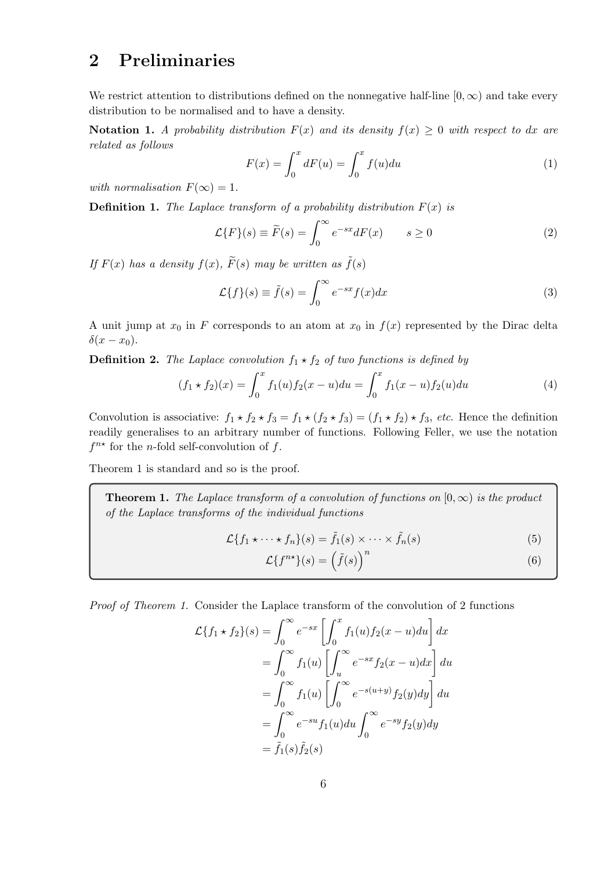# 2 Preliminaries

We restrict attention to distributions defined on the nonnegative half-line  $[0, \infty)$  and take every distribution to be normalised and to have a density.

Notation 1. A probability distribution  $F(x)$  and its density  $f(x) \geq 0$  with respect to dx are *related as follows*

$$
F(x) = \int_0^x dF(u) = \int_0^x f(u)du
$$
\n(1)

*with normalisation*  $F(\infty) = 1$ .

**Definition 1.** The Laplace transform of a probability distribution  $F(x)$  is

$$
\mathcal{L}{F}(s) \equiv \widetilde{F}(s) = \int_0^\infty e^{-sx} dF(x) \qquad s \ge 0 \tag{2}
$$

*If*  $F(x)$  *has a density*  $f(x)$ *,*  $\widetilde{F}(s)$  *may be written as*  $\widetilde{f}(s)$ 

$$
\mathcal{L}{f}(s) \equiv \tilde{f}(s) = \int_0^\infty e^{-sx} f(x) dx \tag{3}
$$

A unit jump at  $x_0$  in F corresponds to an atom at  $x_0$  in  $f(x)$  represented by the Dirac delta  $\delta(x-x_0).$ 

**Definition 2.** *The Laplace convolution*  $f_1 \star f_2$  *of two functions is defined by* 

$$
(f_1 * f_2)(x) = \int_0^x f_1(u) f_2(x - u) du = \int_0^x f_1(x - u) f_2(u) du \tag{4}
$$

Convolution is associative:  $f_1 \star f_2 \star f_3 = f_1 \star (f_2 \star f_3) = (f_1 \star f_2) \star f_3$ , *etc*. Hence the definition readily generalises to an arbitrary number of functions. Following Feller, we use the notation  $f^{n*}$  for the *n*-fold self-convolution of f.

Theorem [1](#page-5-0) is standard and so is the proof.

**Theorem 1.** *The Laplace transform of a convolution of functions on*  $[0, \infty)$  *is the product of the Laplace transforms of the individual functions*

$$
\mathcal{L}\lbrace f_1 \star \cdots \star f_n \rbrace (s) = \tilde{f}_1(s) \times \cdots \times \tilde{f}_n(s) \tag{5}
$$

<span id="page-5-1"></span><span id="page-5-0"></span>
$$
\mathcal{L}\lbrace f^{n\star}\rbrace(s) = \left(\tilde{f}(s)\right)^n\tag{6}
$$

*Proof of Theorem [1.](#page-5-0)* Consider the Laplace transform of the convolution of 2 functions

$$
\mathcal{L}\{f_1 \star f_2\}(s) = \int_0^\infty e^{-sx} \left[ \int_0^x f_1(u) f_2(x - u) du \right] dx
$$
  
\n
$$
= \int_0^\infty f_1(u) \left[ \int_u^\infty e^{-sx} f_2(x - u) dx \right] du
$$
  
\n
$$
= \int_0^\infty f_1(u) \left[ \int_0^\infty e^{-s(u+y)} f_2(y) dy \right] du
$$
  
\n
$$
= \int_0^\infty e^{-su} f_1(u) du \int_0^\infty e^{-sy} f_2(y) dy
$$
  
\n
$$
= \tilde{f}_1(s) \tilde{f}_2(s)
$$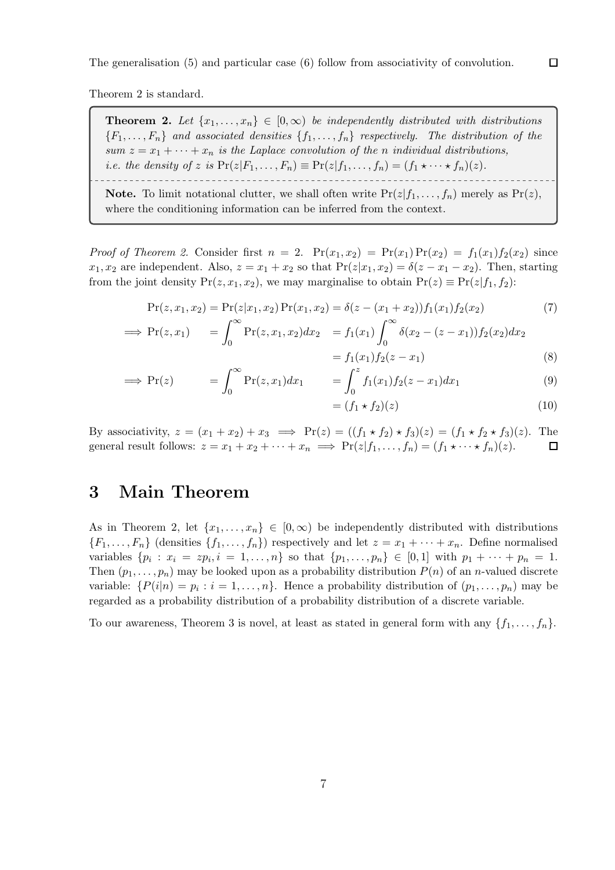Theorem [2](#page-6-0) is standard.

**Theorem 2.** Let  $\{x_1, \ldots, x_n\} \in [0, \infty)$  be independently distributed with distributions  ${F_1, \ldots, F_n}$  *and associated densities*  ${f_1, \ldots, f_n}$  *respectively. The distribution of the sum*  $z = x_1 + \cdots + x_n$  *is the Laplace convolution of the n individual distributions, i.e. the density of* z *is*  $Pr(z|F_1,\ldots,F_n) \equiv Pr(z|f_1,\ldots,f_n) = (f_1 \star \cdots \star f_n)(z)$ .

<span id="page-6-0"></span>**Note.** To limit notational clutter, we shall often write  $Pr(z|f_1, \ldots, f_n)$  merely as  $Pr(z)$ , where the conditioning information can be inferred from the context.

*Proof of Theorem [2.](#page-6-0)* Consider first  $n = 2$ .  $Pr(x_1, x_2) = Pr(x_1) Pr(x_2) = f_1(x_1) f_2(x_2)$  since  $x_1, x_2$  are independent. Also,  $z = x_1 + x_2$  so that  $Pr(z|x_1, x_2) = \delta(z - x_1 - x_2)$ . Then, starting from the joint density  $Pr(z, x_1, x_2)$ , we may marginalise to obtain  $Pr(z) \equiv Pr(z|f_1, f_2)$ :

$$
Pr(z, x_1, x_2) = Pr(z|x_1, x_2) Pr(x_1, x_2) = \delta(z - (x_1 + x_2)) f_1(x_1) f_2(x_2)
$$
\n(7)

$$
\implies \Pr(z, x_1) = \int_0^\infty \Pr(z, x_1, x_2) dx_2 = f_1(x_1) \int_0^\infty \delta(x_2 - (z - x_1)) f_2(x_2) dx_2
$$
  
= f(x\_1) f\_1(x\_2 - x\_1) (8)

$$
= f_1(x_1) f_2(z - x_1)
$$
 (8)

$$
\implies \Pr(z) \qquad \qquad = \int_0^\infty \Pr(z, x_1) dx_1 \qquad \qquad = \int_0^z f_1(x_1) f_2(z - x_1) dx_1 \qquad \qquad (9)
$$

$$
= (f_1 \star f_2)(z) \tag{10}
$$

By associativity,  $z = (x_1 + x_2) + x_3 \implies \Pr(z) = ((f_1 \star f_2) \star f_3)(z) = (f_1 \star f_2 \star f_3)(z)$ . The general result follows:  $z = x_1 + x_2 + \cdots + x_n \implies \Pr(z|f_1, \ldots, f_n) = (f_1 \star \cdots \star f_n)(z)$ . general result follows:  $z = x_1 + x_2 + \cdots + x_n \implies \Pr(z|f_1, \ldots, f_n) = (f_1 \star \cdots \star f_n)(z).$ 

## <span id="page-6-1"></span>3 Main Theorem

As in Theorem [2,](#page-6-0) let  $\{x_1, \ldots, x_n\} \in [0, \infty)$  be independently distributed with distributions  ${F_1, \ldots, F_n}$  (densities  ${f_1, \ldots, f_n}$ ) respectively and let  $z = x_1 + \cdots + x_n$ . Define normalised variables  $\{p_i : x_i = z p_i, i = 1, ..., n\}$  so that  $\{p_1, ..., p_n\} \in [0, 1]$  with  $p_1 + \cdots + p_n = 1$ . Then  $(p_1, \ldots, p_n)$  may be looked upon as a probability distribution  $P(n)$  of an n-valued discrete variable:  $\{P(i|n) = p_i : i = 1, \ldots, n\}$ . Hence a probability distribution of  $(p_1, \ldots, p_n)$  may be regarded as a probability distribution of a probability distribution of a discrete variable.

To our awareness, Theorem [3](#page-7-0) is novel, at least as stated in general form with any  $\{f_1, \ldots, f_n\}$ .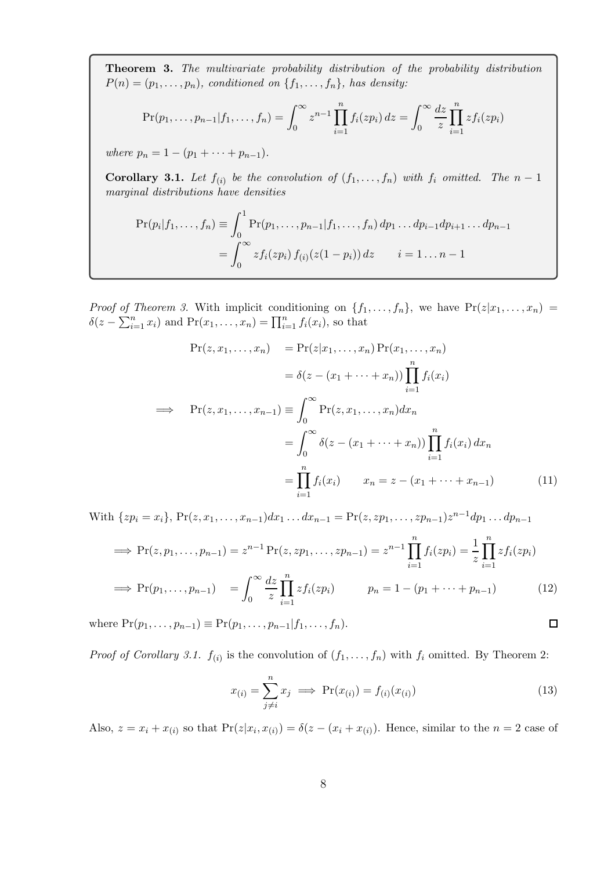<span id="page-7-0"></span>Theorem 3. *The multivariate probability distribution of the probability distribution*  $P(n) = (p_1, \ldots, p_n)$ *, conditioned on*  $\{f_1, \ldots, f_n\}$ *, has density:* 

$$
\Pr(p_1, \ldots, p_{n-1} | f_1, \ldots, f_n) = \int_0^\infty z^{n-1} \prod_{i=1}^n f_i(z p_i) \, dz = \int_0^\infty \frac{dz}{z} \prod_{i=1}^n z f_i(z p_i)
$$

*where*  $p_n = 1 - (p_1 + \cdots + p_{n-1}).$ 

<span id="page-7-1"></span>**Corollary 3.1.** Let  $f_{(i)}$  be the convolution of  $(f_1, \ldots, f_n)$  with  $f_i$  omitted. The  $n-1$ *marginal distributions have densities*

$$
\Pr(p_i|f_1,\ldots,f_n) \equiv \int_0^1 \Pr(p_1,\ldots,p_{n-1}|f_1,\ldots,f_n) dp_1 \ldots dp_{i-1} dp_{i+1} \ldots dp_{n-1}
$$

$$
= \int_0^\infty z f_i(zp_i) f_{(i)}(z(1-p_i)) dz \qquad i = 1 \ldots n-1
$$

*Proof of Theorem [3.](#page-7-0)* With implicit conditioning on  $\{f_1, \ldots, f_n\}$ , we have  $Pr(z|x_1, \ldots, x_n)$  $\delta(z-\sum_{i=1}^n x_i)$  and  $\Pr(x_1,\ldots,x_n)=\prod_{i=1}^n f_i(x_i)$ , so that

$$
\Pr(z, x_1, \dots, x_n) = \Pr(z|x_1, \dots, x_n) \Pr(x_1, \dots, x_n)
$$
\n
$$
= \delta(z - (x_1 + \dots + x_n)) \prod_{i=1}^n f_i(x_i)
$$
\n
$$
\implies \Pr(z, x_1, \dots, x_{n-1}) \equiv \int_0^\infty \Pr(z, x_1, \dots, x_n) dx_n
$$
\n
$$
= \int_0^\infty \delta(z - (x_1 + \dots + x_n)) \prod_{i=1}^n f_i(x_i) dx_n
$$
\n
$$
= \prod_{i=1}^n f_i(x_i) \qquad x_n = z - (x_1 + \dots + x_{n-1}) \tag{11}
$$

With  $\{zp_i = x_i\}$ ,  $Pr(z, x_1, \ldots, x_{n-1})dx_1 \ldots dx_{n-1} = Pr(z, zp_1, \ldots, zp_{n-1})z^{n-1}dp_1 \ldots dp_{n-1}$  $\implies \Pr(z, p_1, \ldots, p_{n-1}) = z^{n-1} \Pr(z, z p_1, \ldots, z p_{n-1}) = z^{n-1} \prod_{i=1}^{n}$  $\frac{i=1}{i}$  $f_i(zp_i) = \frac{1}{z}$  $\prod^n$  $\frac{i=1}{i}$  $zf_i(zp_i)$  $\implies \Pr(p_1, \ldots, p_{n-1}) = \int_0^\infty$ dz z  $\prod^n$  $i=1$  $z f_i(z p_i)$   $p_n = 1 - (p_1 + \cdots + p_{n-1})$  (12)

where  $Pr(p_1, ..., p_{n-1}) \equiv Pr(p_1, ..., p_{n-1}|f_1, ..., f_n)$ .

*Proof of Corollary [3.1.](#page-7-1)*  $f_{(i)}$  is the convolution of  $(f_1, \ldots, f_n)$  with  $f_i$  omitted. By Theorem [2:](#page-6-0)

$$
x_{(i)} = \sum_{j \neq i}^{n} x_j \implies \Pr(x_{(i)}) = f_{(i)}(x_{(i)}) \tag{13}
$$

<span id="page-7-2"></span> $\Box$ 

Also,  $z = x_i + x_{(i)}$  so that  $Pr(z|x_i, x_{(i)}) = \delta(z - (x_i + x_{(i)})$ . Hence, similar to the  $n = 2$  case of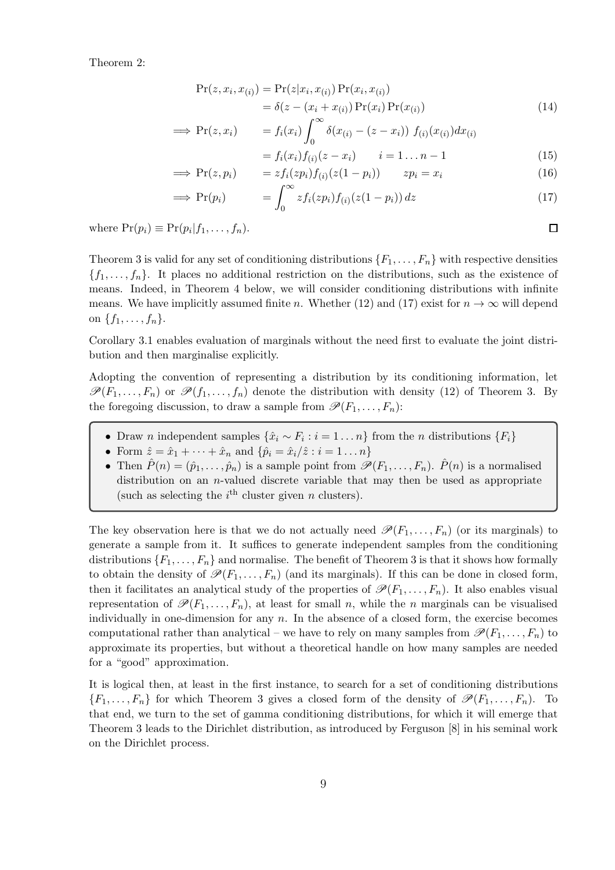Theorem [2:](#page-6-0)

$$
Pr(z, x_i, x_{(i)}) = Pr(z|x_i, x_{(i)}) Pr(x_i, x_{(i)})
$$
  
=  $\delta(z - (x_i + x_{(i)}) Pr(x_i) Pr(x_{(i)})$  (14)

$$
\implies \Pr(z, x_i) = f_i(x_i) \int_0^\infty \delta(x_{(i)} - (z - x_i)) f_{(i)}(x_{(i)}) dx_{(i)}
$$

$$
= f_i(x_i) f_{(i)}(z - x_i) \qquad i = 1 ... n - 1 \tag{15}
$$

$$
\implies \Pr(z, p_i) = z f_i(z p_i) f_{(i)}(z(1 - p_i)) \qquad z p_i = x_i \tag{16}
$$

$$
\implies \Pr(p_i) \qquad \qquad = \int_0^\infty z f_i(z p_i) f_{(i)}(z(1-p_i)) \, dz \tag{17}
$$

where  $Pr(p_i) \equiv Pr(p_i|f_1,\ldots,f_n)$ .

Theorem [3](#page-7-0) is valid for any set of conditioning distributions  $\{F_1, \ldots, F_n\}$  with respective densities  ${f_1, \ldots, f_n}$ . It places no additional restriction on the distributions, such as the existence of means. Indeed, in Theorem [4](#page-14-0) below, we will consider conditioning distributions with infinite means. We have implicitly assumed finite n. Whether [\(12\)](#page-7-2) and [\(17\)](#page-8-0) exist for  $n \to \infty$  will depend on  $\{f_1, \ldots, f_n\}.$ 

Corollary [3.1](#page-7-1) enables evaluation of marginals without the need first to evaluate the joint distribution and then marginalise explicitly.

Adopting the convention of representing a distribution by its conditioning information, let  $\mathscr{P}(F_1,\ldots,F_n)$  or  $\mathscr{P}(f_1,\ldots,f_n)$  denote the distribution with density [\(12\)](#page-7-2) of Theorem [3.](#page-7-0) By the foregoing discussion, to draw a sample from  $\mathscr{P}(F_1, \ldots, F_n)$ :

- Draw *n* independent samples  $\{\hat{x}_i \sim F_i : i = 1 \dots n\}$  from the *n* distributions  $\{F_i\}$
- Form  $\hat{z} = \hat{x}_1 + \cdots + \hat{x}_n$  and  $\{\hat{p}_i = \hat{x}_i/\hat{z} : i = 1 \dots n\}$
- Then  $\hat{P}(n) = (\hat{p}_1, \ldots, \hat{p}_n)$  is a sample point from  $\mathscr{P}(F_1, \ldots, F_n)$ .  $\hat{P}(n)$  is a normalised distribution on an *n*-valued discrete variable that may then be used as appropriate (such as selecting the  $i<sup>th</sup>$  cluster given n clusters).

The key observation here is that we do not actually need  $\mathscr{P}(F_1,\ldots,F_n)$  (or its marginals) to generate a sample from it. It suffices to generate independent samples from the conditioning distributions  $\{F_1, \ldots, F_n\}$  and normalise. The benefit of Theorem [3](#page-7-0) is that it shows how formally to obtain the density of  $\mathscr{P}(F_1, \ldots, F_n)$  (and its marginals). If this can be done in closed form, then it facilitates an analytical study of the properties of  $\mathscr{P}(F_1, \ldots, F_n)$ . It also enables visual representation of  $\mathscr{P}(F_1,\ldots,F_n)$ , at least for small n, while the n marginals can be visualised individually in one-dimension for any  $n$ . In the absence of a closed form, the exercise becomes computational rather than analytical – we have to rely on many samples from  $\mathscr{P}(F_1, \ldots, F_n)$  to approximate its properties, but without a theoretical handle on how many samples are needed for a "good" approximation.

It is logical then, at least in the first instance, to search for a set of conditioning distributions  $\{F_1, \ldots, F_n\}$  for which Theorem [3](#page-7-0) gives a closed form of the density of  $\mathscr{P}(F_1, \ldots, F_n)$ . To that end, we turn to the set of gamma conditioning distributions, for which it will emerge that Theorem [3](#page-7-0) leads to the Dirichlet distribution, as introduced by Ferguson [\[8](#page-15-1)] in his seminal work on the Dirichlet process.

<span id="page-8-0"></span> $\Box$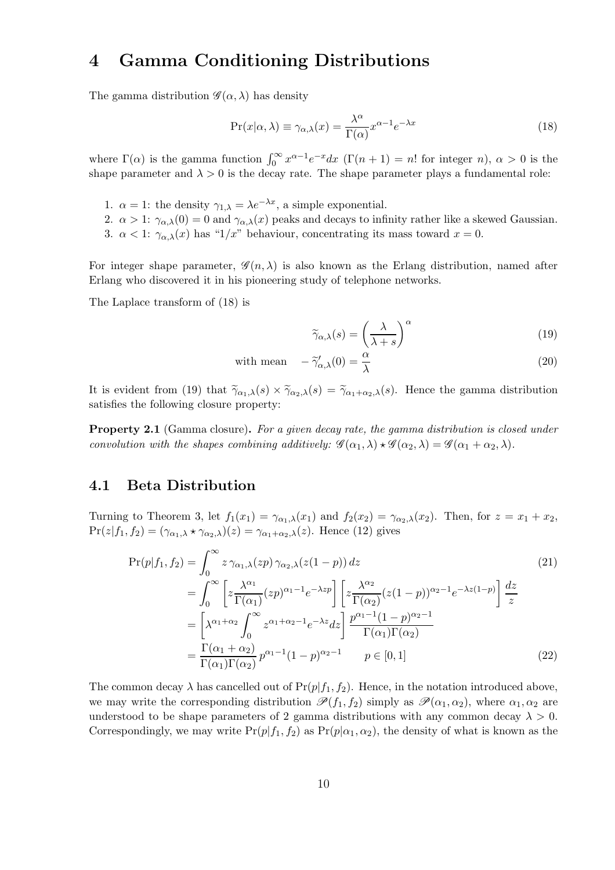## 4 Gamma Conditioning Distributions

The gamma distribution  $\mathscr{G}(\alpha,\lambda)$  has density

$$
\Pr(x|\alpha,\lambda) \equiv \gamma_{\alpha,\lambda}(x) = \frac{\lambda^{\alpha}}{\Gamma(\alpha)} x^{\alpha-1} e^{-\lambda x}
$$
\n(18)

where  $\Gamma(\alpha)$  is the gamma function  $\int_0^\infty x^{\alpha-1}e^{-x}dx$  ( $\Gamma(n+1) = n!$  for integer n),  $\alpha > 0$  is the shape parameter and  $\lambda > 0$  is the decay rate. The shape parameter plays a fundamental role:

- 1.  $\alpha = 1$ : the density  $\gamma_{1,\lambda} = \lambda e^{-\lambda x}$ , a simple exponential.
- 2.  $\alpha > 1$ :  $\gamma_{\alpha,\lambda}(0) = 0$  and  $\gamma_{\alpha,\lambda}(x)$  peaks and decays to infinity rather like a skewed Gaussian.
- 3.  $\alpha < 1$ :  $\gamma_{\alpha,\lambda}(x)$  has "1/x" behaviour, concentrating its mass toward  $x = 0$ .

For integer shape parameter,  $\mathscr{G}(n, \lambda)$  is also known as the Erlang distribution, named after Erlang who discovered it in his pioneering study of telephone networks.

The Laplace transform of [\(18\)](#page-9-0) is

<span id="page-9-1"></span><span id="page-9-0"></span>
$$
\widetilde{\gamma}_{\alpha,\lambda}(s) = \left(\frac{\lambda}{\lambda+s}\right)^{\alpha} \tag{19}
$$

with mean 
$$
-\tilde{\gamma}'_{\alpha,\lambda}(0) = \frac{\alpha}{\lambda}
$$
 (20)

It is evident from [\(19\)](#page-9-1) that  $\widetilde{\gamma}_{\alpha_1,\lambda}(s) \times \widetilde{\gamma}_{\alpha_2,\lambda}(s) = \widetilde{\gamma}_{\alpha_1+\alpha_2,\lambda}(s)$ . Hence the gamma distribution satisfies the following closure property:

Property 2.1 (Gamma closure). *For a given decay rate, the gamma distribution is closed under convolution with the shapes combining additively:*  $\mathscr{G}(\alpha_1, \lambda) \star \mathscr{G}(\alpha_2, \lambda) = \mathscr{G}(\alpha_1 + \alpha_2, \lambda)$ .

### 4.1 Beta Distribution

Turning to Theorem [3,](#page-7-0) let  $f_1(x_1) = \gamma_{\alpha_1,\lambda}(x_1)$  and  $f_2(x_2) = \gamma_{\alpha_2,\lambda}(x_2)$ . Then, for  $z = x_1 + x_2$ ,  $Pr(z|f_1, f_2) = (\gamma_{\alpha_1,\lambda} * \gamma_{\alpha_2,\lambda})(z) = \gamma_{\alpha_1+\alpha_2,\lambda}(z)$ . Hence [\(12\)](#page-7-2) gives

$$
\Pr(p|f_1, f_2) = \int_0^\infty z \,\gamma_{\alpha_1,\lambda}(zp) \,\gamma_{\alpha_2,\lambda}(z(1-p)) \,dz \tag{21}
$$
\n
$$
= \int_0^\infty \left[ z \frac{\lambda^{\alpha_1}}{\Gamma(\alpha_1)} (zp)^{\alpha_1 - 1} e^{-\lambda z p} \right] \left[ z \frac{\lambda^{\alpha_2}}{\Gamma(\alpha_2)} (z(1-p))^{\alpha_2 - 1} e^{-\lambda z(1-p)} \right] \frac{dz}{z}
$$
\n
$$
= \left[ \lambda^{\alpha_1 + \alpha_2} \int_0^\infty z^{\alpha_1 + \alpha_2 - 1} e^{-\lambda z} dz \right] \frac{p^{\alpha_1 - 1} (1-p)^{\alpha_2 - 1}}{\Gamma(\alpha_1) \Gamma(\alpha_2)}
$$
\n
$$
= \frac{\Gamma(\alpha_1 + \alpha_2)}{\Gamma(\alpha_1) \Gamma(\alpha_2)} p^{\alpha_1 - 1} (1-p)^{\alpha_2 - 1} \qquad p \in [0, 1] \tag{22}
$$

The common decay  $\lambda$  has cancelled out of  $Pr(p|f_1, f_2)$ . Hence, in the notation introduced above, we may write the corresponding distribution  $\mathscr{P}(f_1, f_2)$  simply as  $\mathscr{P}(\alpha_1, \alpha_2)$ , where  $\alpha_1, \alpha_2$  are understood to be shape parameters of 2 gamma distributions with any common decay  $\lambda > 0$ . Correspondingly, we may write  $Pr(p|f_1, f_2)$  as  $Pr(p|\alpha_1, \alpha_2)$ , the density of what is known as the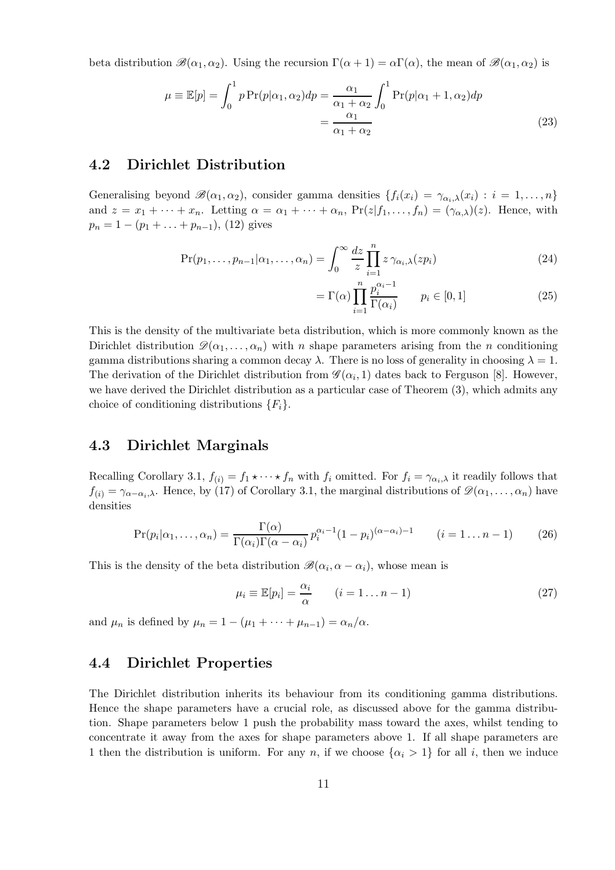beta distribution  $\mathscr{B}(\alpha_1, \alpha_2)$ . Using the recursion  $\Gamma(\alpha + 1) = \alpha \Gamma(\alpha)$ , the mean of  $\mathscr{B}(\alpha_1, \alpha_2)$  is

$$
\mu \equiv \mathbb{E}[p] = \int_0^1 p \Pr(p|\alpha_1, \alpha_2) dp = \frac{\alpha_1}{\alpha_1 + \alpha_2} \int_0^1 \Pr(p|\alpha_1 + 1, \alpha_2) dp
$$

$$
= \frac{\alpha_1}{\alpha_1 + \alpha_2} \tag{23}
$$

## 4.2 Dirichlet Distribution

Generalising beyond  $\mathscr{B}(\alpha_1, \alpha_2)$ , consider gamma densities  $\{f_i(x_i) = \gamma_{\alpha_i,\lambda}(x_i) : i = 1,\ldots,n\}$ and  $z = x_1 + \cdots + x_n$ . Letting  $\alpha = \alpha_1 + \cdots + \alpha_n$ ,  $Pr(z|f_1, \ldots, f_n) = (\gamma_{\alpha,\lambda})(z)$ . Hence, with  $p_n = 1 - (p_1 + \ldots + p_{n-1}),$  [\(12\)](#page-7-2) gives

$$
\Pr(p_1, \dots, p_{n-1} | \alpha_1, \dots, \alpha_n) = \int_0^\infty \frac{dz}{z} \prod_{i=1}^n z \, \gamma_{\alpha_i, \lambda}(z p_i) \tag{24}
$$

$$
= \Gamma(\alpha) \prod_{i=1}^{n} \frac{p_i^{\alpha_i - 1}}{\Gamma(\alpha_i)} \qquad p_i \in [0, 1]
$$
 (25)

This is the density of the multivariate beta distribution, which is more commonly known as the Dirichlet distribution  $\mathscr{D}(\alpha_1, \ldots, \alpha_n)$  with n shape parameters arising from the n conditioning gamma distributions sharing a common decay  $\lambda$ . There is no loss of generality in choosing  $\lambda = 1$ . The derivation of the Dirichlet distribution from  $\mathscr{G}(\alpha_i, 1)$  dates back to Ferguson [\[8](#page-15-1)]. However, we have derived the Dirichlet distribution as a particular case of Theorem [\(3\)](#page-7-0), which admits any choice of conditioning distributions  ${F_i}$ .

### 4.3 Dirichlet Marginals

Recalling Corollary [3.1,](#page-7-1)  $f_{(i)} = f_1 \star \cdots \star f_n$  with  $f_i$  omitted. For  $f_i = \gamma_{\alpha_i,\lambda}$  it readily follows that  $f(i) = \gamma_{\alpha-\alpha_i,\lambda}$ . Hence, by [\(17\)](#page-8-0) of Corollary [3.1,](#page-7-1) the marginal distributions of  $\mathscr{D}(\alpha_1,\ldots,\alpha_n)$  have densities

$$
\Pr(p_i|\alpha_1,\ldots,\alpha_n) = \frac{\Gamma(\alpha)}{\Gamma(\alpha_i)\Gamma(\alpha-\alpha_i)} p_i^{\alpha_i-1} (1-p_i)^{(\alpha-\alpha_i)-1} \qquad (i=1\ldots n-1) \tag{26}
$$

This is the density of the beta distribution  $\mathscr{B}(\alpha_i, \alpha - \alpha_i)$ , whose mean is

$$
\mu_i \equiv \mathbb{E}[p_i] = \frac{\alpha_i}{\alpha} \qquad (i = 1 \dots n - 1)
$$
\n(27)

and  $\mu_n$  is defined by  $\mu_n = 1 - (\mu_1 + \cdots + \mu_{n-1}) = \alpha_n/\alpha$ .

## 4.4 Dirichlet Properties

The Dirichlet distribution inherits its behaviour from its conditioning gamma distributions. Hence the shape parameters have a crucial role, as discussed above for the gamma distribution. Shape parameters below 1 push the probability mass toward the axes, whilst tending to concentrate it away from the axes for shape parameters above 1. If all shape parameters are 1 then the distribution is uniform. For any n, if we choose  $\{\alpha_i > 1\}$  for all i, then we induce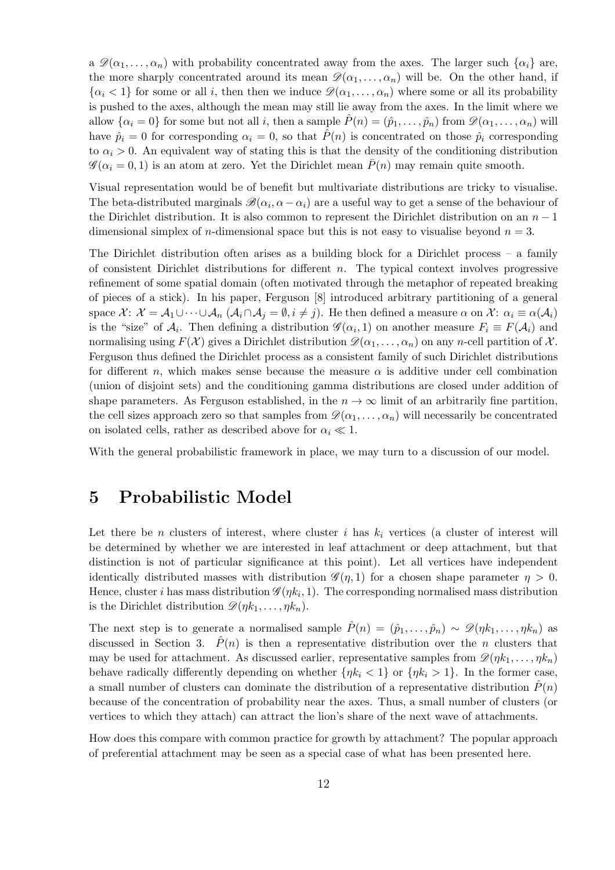a  $\mathscr{D}(\alpha_1, \ldots, \alpha_n)$  with probability concentrated away from the axes. The larger such  $\{\alpha_i\}$  are, the more sharply concentrated around its mean  $\mathscr{D}(\alpha_1, \ldots, \alpha_n)$  will be. On the other hand, if  $\{\alpha_i < 1\}$  for some or all i, then then we induce  $\mathcal{D}(\alpha_1, \ldots, \alpha_n)$  where some or all its probability is pushed to the axes, although the mean may still lie away from the axes. In the limit where we allow  $\{\alpha_i = 0\}$  for some but not all i, then a sample  $\hat{P}(n) = (\hat{p}_1, \dots, \hat{p}_n)$  from  $\mathscr{D}(\alpha_1, \dots, \alpha_n)$  will have  $\hat{p}_i = 0$  for corresponding  $\alpha_i = 0$ , so that  $\hat{P}(n)$  is concentrated on those  $\hat{p}_i$  corresponding to  $\alpha_i > 0$ . An equivalent way of stating this is that the density of the conditioning distribution  $\mathscr{G}(\alpha_i = 0, 1)$  is an atom at zero. Yet the Dirichlet mean  $\bar{P}(n)$  may remain quite smooth.

Visual representation would be of benefit but multivariate distributions are tricky to visualise. The beta-distributed marginals  $\mathscr{B}(\alpha_i, \alpha - \alpha_i)$  are a useful way to get a sense of the behaviour of the Dirichlet distribution. It is also common to represent the Dirichlet distribution on an  $n-1$ dimensional simplex of *n*-dimensional space but this is not easy to visualise beyond  $n = 3$ .

The Dirichlet distribution often arises as a building block for a Dirichlet process – a family of consistent Dirichlet distributions for different  $n$ . The typical context involves progressive refinement of some spatial domain (often motivated through the metaphor of repeated breaking of pieces of a stick). In his paper, Ferguson [\[8](#page-15-1)] introduced arbitrary partitioning of a general space  $\mathcal{X}$ :  $\mathcal{X} = \mathcal{A}_1 \cup \cdots \cup \mathcal{A}_n$   $(\mathcal{A}_i \cap \mathcal{A}_j = \emptyset, i \neq j)$ . He then defined a measure  $\alpha$  on  $\mathcal{X}$ :  $\alpha_i \equiv \alpha(\mathcal{A}_i)$ is the "size" of  $A_i$ . Then defining a distribution  $\mathscr{G}(\alpha_i, 1)$  on another measure  $F_i \equiv F(A_i)$  and normalising using  $F(\mathcal{X})$  gives a Dirichlet distribution  $\mathscr{D}(\alpha_1, \ldots, \alpha_n)$  on any n-cell partition of  $\mathcal{X}$ . Ferguson thus defined the Dirichlet process as a consistent family of such Dirichlet distributions for different n, which makes sense because the measure  $\alpha$  is additive under cell combination (union of disjoint sets) and the conditioning gamma distributions are closed under addition of shape parameters. As Ferguson established, in the  $n \to \infty$  limit of an arbitrarily fine partition, the cell sizes approach zero so that samples from  $\mathscr{D}(\alpha_1, \ldots, \alpha_n)$  will necessarily be concentrated on isolated cells, rather as described above for  $\alpha_i \ll 1$ .

With the general probabilistic framework in place, we may turn to a discussion of our model.

## 5 Probabilistic Model

Let there be n clusters of interest, where cluster i has  $k_i$  vertices (a cluster of interest will be determined by whether we are interested in leaf attachment or deep attachment, but that distinction is not of particular significance at this point). Let all vertices have independent identically distributed masses with distribution  $\mathscr{G}(\eta,1)$  for a chosen shape parameter  $\eta > 0$ . Hence, cluster *i* has mass distribution  $\mathscr{G}(\eta k_i, 1)$ . The corresponding normalised mass distribution is the Dirichlet distribution  $\mathscr{D}(\eta k_1, \ldots, \eta k_n)$ .

The next step is to generate a normalised sample  $\hat{P}(n) = (\hat{p}_1, \ldots, \hat{p}_n) \sim \mathscr{D}(nk_1, \ldots, nk_n)$  as discussed in Section [3.](#page-6-1)  $\hat{P}(n)$  is then a representative distribution over the n clusters that may be used for attachment. As discussed earlier, representative samples from  $\mathcal{D}(n k_1, \ldots, n k_n)$ behave radically differently depending on whether  $\{\eta k_i < 1\}$  or  $\{\eta k_i > 1\}$ . In the former case, a small number of clusters can dominate the distribution of a representative distribution  $P(n)$ because of the concentration of probability near the axes. Thus, a small number of clusters (or vertices to which they attach) can attract the lion's share of the next wave of attachments.

How does this compare with common practice for growth by attachment? The popular approach of preferential attachment may be seen as a special case of what has been presented here.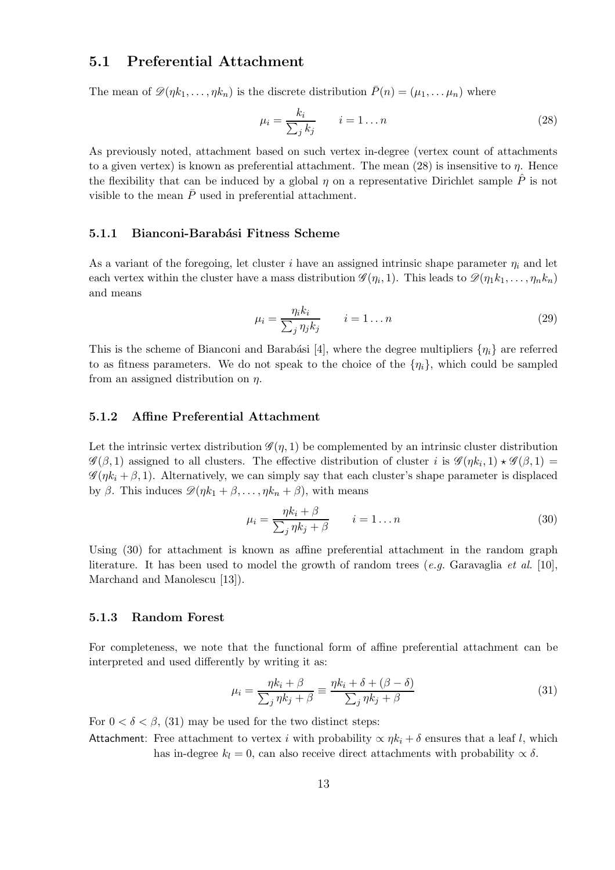## 5.1 Preferential Attachment

The mean of  $\mathscr{D}(\eta k_1, \ldots, \eta k_n)$  is the discrete distribution  $\bar{P}(n) = (\mu_1, \ldots, \mu_n)$  where

<span id="page-12-0"></span>
$$
\mu_i = \frac{k_i}{\sum_j k_j} \qquad i = 1 \dots n \tag{28}
$$

As previously noted, attachment based on such vertex in-degree (vertex count of attachments to a given vertex) is known as preferential attachment. The mean  $(28)$  is insensitive to  $\eta$ . Hence the flexibility that can be induced by a global  $\eta$  on a representative Dirichlet sample  $\hat{P}$  is not visible to the mean  $\bar{P}$  used in preferential attachment.

#### 5.1.1 Bianconi-Barabási Fitness Scheme

As a variant of the foregoing, let cluster i have an assigned intrinsic shape parameter  $\eta_i$  and let each vertex within the cluster have a mass distribution  $\mathscr{G}(\eta_1, 1)$ . This leads to  $\mathscr{D}(\eta_1 k_1, \ldots, \eta_n k_n)$ and means

$$
\mu_i = \frac{\eta_i k_i}{\sum_j \eta_j k_j} \qquad i = 1 \dots n \tag{29}
$$

This is the scheme of Bianconi and Barabási [\[4](#page-15-0)], where the degree multipliers  $\{\eta_i\}$  are referred to as fitness parameters. We do not speak to the choice of the  $\{\eta_i\}$ , which could be sampled from an assigned distribution on  $\eta$ .

### 5.1.2 Affine Preferential Attachment

Let the intrinsic vertex distribution  $\mathscr{G}(\eta, 1)$  be complemented by an intrinsic cluster distribution  $\mathscr{G}(\beta,1)$  assigned to all clusters. The effective distribution of cluster i is  $\mathscr{G}(\eta k_i,1) \star \mathscr{G}(\beta,1) =$  $\mathscr{G}(\eta k_i + \beta, 1)$ . Alternatively, we can simply say that each cluster's shape parameter is displaced by β. This induces  $\mathscr{D}(\eta k_1 + \beta, \ldots, \eta k_n + \beta)$ , with means

<span id="page-12-1"></span>
$$
\mu_i = \frac{\eta k_i + \beta}{\sum_j \eta k_j + \beta} \qquad i = 1 \dots n \tag{30}
$$

Using [\(30\)](#page-12-1) for attachment is known as affine preferential attachment in the random graph literature. It has been used to model the growth of random trees (*e.g.* Garavaglia *et al.* [\[10\]](#page-16-5), Marchand and Manolescu [\[13](#page-16-6)]).

#### 5.1.3 Random Forest

For completeness, we note that the functional form of affine preferential attachment can be interpreted and used differently by writing it as:

<span id="page-12-2"></span>
$$
\mu_i = \frac{\eta k_i + \beta}{\sum_j \eta k_j + \beta} \equiv \frac{\eta k_i + \delta + (\beta - \delta)}{\sum_j \eta k_j + \beta} \tag{31}
$$

For  $0 < \delta < \beta$ , [\(31\)](#page-12-2) may be used for the two distinct steps:

Attachment: Free attachment to vertex i with probability  $\propto \eta k_i + \delta$  ensures that a leaf l, which has in-degree  $k_l = 0$ , can also receive direct attachments with probability  $\propto \delta$ .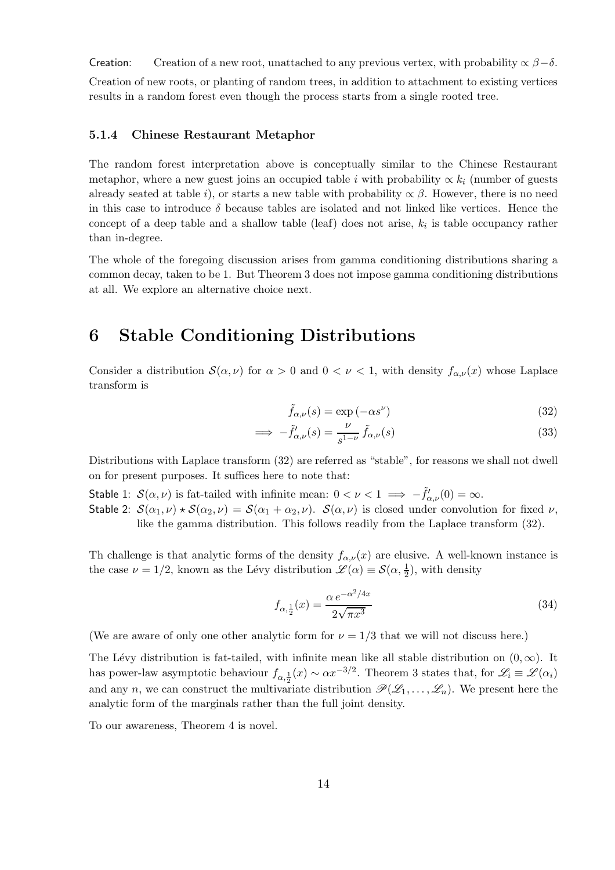Creation: Creation of a new root, unattached to any previous vertex, with probability  $\alpha \beta - \delta$ . Creation of new roots, or planting of random trees, in addition to attachment to existing vertices results in a random forest even though the process starts from a single rooted tree.

### 5.1.4 Chinese Restaurant Metaphor

The random forest interpretation above is conceptually similar to the Chinese Restaurant metaphor, where a new guest joins an occupied table i with probability  $\propto k_i$  (number of guests already seated at table i), or starts a new table with probability  $\propto \beta$ . However, there is no need in this case to introduce  $\delta$  because tables are isolated and not linked like vertices. Hence the concept of a deep table and a shallow table (leaf) does not arise,  $k_i$  is table occupancy rather than in-degree.

The whole of the foregoing discussion arises from gamma conditioning distributions sharing a common decay, taken to be 1. But Theorem [3](#page-7-0) does not impose gamma conditioning distributions at all. We explore an alternative choice next.

## 6 Stable Conditioning Distributions

Consider a distribution  $S(\alpha, \nu)$  for  $\alpha > 0$  and  $0 < \nu < 1$ , with density  $f_{\alpha,\nu}(x)$  whose Laplace transform is

<span id="page-13-0"></span>
$$
\tilde{f}_{\alpha,\nu}(s) = \exp(-\alpha s^{\nu})
$$
\n(32)

$$
\implies -\tilde{f}'_{\alpha,\nu}(s) = \frac{\nu}{s^{1-\nu}} \tilde{f}_{\alpha,\nu}(s) \tag{33}
$$

Distributions with Laplace transform [\(32\)](#page-13-0) are referred as "stable", for reasons we shall not dwell on for present purposes. It suffices here to note that:

Stable 1:  $\mathcal{S}(\alpha,\nu)$  is fat-tailed with infinite mean:  $0 < \nu < 1 \implies -\tilde{f}'_{\alpha,\nu}(0) = \infty$ . Stable 2:  $S(\alpha_1, \nu) \star S(\alpha_2, \nu) = S(\alpha_1 + \alpha_2, \nu)$ .  $S(\alpha, \nu)$  is closed under convolution for fixed  $\nu$ , like the gamma distribution. This follows readily from the Laplace transform [\(32\)](#page-13-0).

Th challenge is that analytic forms of the density  $f_{\alpha,\nu}(x)$  are elusive. A well-known instance is the case  $\nu = 1/2$ , known as the Lévy distribution  $\mathscr{L}(\alpha) \equiv \mathcal{S}(\alpha, \frac{1}{2})$ , with density

$$
f_{\alpha, \frac{1}{2}}(x) = \frac{\alpha e^{-\alpha^2/4x}}{2\sqrt{\pi x^3}}
$$
\n(34)

(We are aware of only one other analytic form for  $\nu = 1/3$  that we will not discuss here.)

The Lévy distribution is fat-tailed, with infinite mean like all stable distribution on  $(0, \infty)$ . It has power-law asymptotic behaviour  $f_{\alpha, \frac{1}{2}}(x) \sim \alpha x^{-3/2}$ . Theorem [3](#page-7-0) states that, for  $\mathscr{L}_i \equiv \mathscr{L}(\alpha_i)$ and any n, we can construct the multivariate distribution  $\mathscr{P}(\mathscr{L}_1, \ldots, \mathscr{L}_n)$ . We present here the analytic form of the marginals rather than the full joint density.

To our awareness, Theorem [4](#page-14-0) is novel.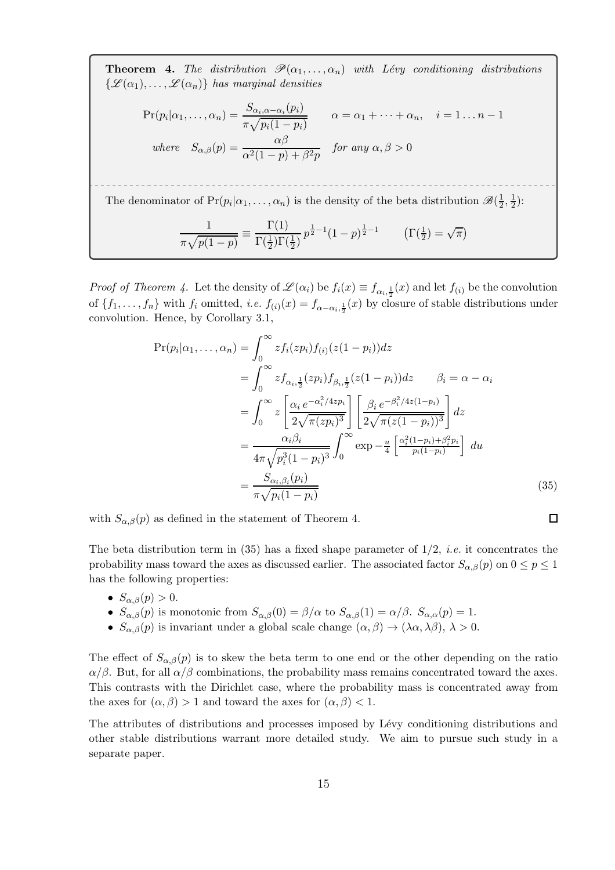**Theorem 4.** *The distribution*  $\mathscr{P}(\alpha_1, \ldots, \alpha_n)$  *with Lévy conditioning distributions*  $\{\mathscr{L}(\alpha_1), \ldots, \mathscr{L}(\alpha_n)\}\$  has marginal densities

<span id="page-14-0"></span>
$$
\Pr(p_i|\alpha_1,\dots,\alpha_n) = \frac{S_{\alpha_i,\alpha-\alpha_i}(p_i)}{\pi\sqrt{p_i(1-p_i)}} \qquad \alpha = \alpha_1 + \dots + \alpha_n, \quad i = 1 \dots n-1
$$
\nwhere

\n
$$
S_{\alpha,\beta}(p) = \frac{\alpha\beta}{\alpha^2(1-p) + \beta^2 p} \qquad \text{for any } \alpha, \beta > 0
$$
\nThe denominator of

\n
$$
\Pr(p_i|\alpha_1,\dots,\alpha_n) \text{ is the density of the beta distribution } \mathcal{B}(\frac{1}{2},\frac{1}{2})
$$
\n
$$
\frac{1}{\pi\sqrt{p(1-p)}} = \frac{\Gamma(1)}{\Gamma(\frac{1}{2})\Gamma(\frac{1}{2})} p^{\frac{1}{2}-1} (1-p)^{\frac{1}{2}-1} \qquad \left(\Gamma(\frac{1}{2}) = \sqrt{\pi}\right)
$$

*Proof of Theorem [4.](#page-14-0)* Let the density of  $\mathscr{L}(\alpha_i)$  be  $f_i(x) \equiv f_{\alpha_i, \frac{1}{2}}(x)$  and let  $f_{(i)}$  be the convolution of  $\{f_1,\ldots,f_n\}$  with  $f_i$  omitted, *i.e.*  $f_{(i)}(x) = f_{\alpha-\alpha_i,\frac{1}{2}}(x)$  by closure of stable distributions under convolution. Hence, by Corollary [3.1,](#page-7-1)

$$
\Pr(p_i|\alpha_1,\dots,\alpha_n) = \int_0^\infty z f_i(zp_i) f_{(i)}(z(1-p_i)) dz
$$
  
\n
$$
= \int_0^\infty z f_{\alpha_i, \frac{1}{2}}(zp_i) f_{\beta_i, \frac{1}{2}}(z(1-p_i)) dz \qquad \beta_i = \alpha - \alpha_i
$$
  
\n
$$
= \int_0^\infty z \left[ \frac{\alpha_i e^{-\alpha_i^2/4zp_i}}{2\sqrt{\pi (zp_i)^3}} \right] \left[ \frac{\beta_i e^{-\beta_i^2/4z(1-p_i)}}{2\sqrt{\pi (z(1-p_i))^3}} \right] dz
$$
  
\n
$$
= \frac{\alpha_i \beta_i}{4\pi \sqrt{p_i^3 (1-p_i)^3}} \int_0^\infty \exp{-\frac{u}{4} \left[ \frac{\alpha_i^2 (1-p_i) + \beta_i^2 p_i}{p_i (1-p_i)} \right]} du
$$
  
\n
$$
= \frac{S_{\alpha_i, \beta_i}(p_i)}{\pi \sqrt{p_i (1-p_i)}}
$$
(35)

<span id="page-14-1"></span> $\Box$ 

with  $S_{\alpha,\beta}(p)$  as defined in the statement of Theorem [4.](#page-14-0)

The beta distribution term in [\(35\)](#page-14-1) has a fixed shape parameter of 1/2, *i.e.* it concentrates the probability mass toward the axes as discussed earlier. The associated factor  $S_{\alpha,\beta}(p)$  on  $0 \leq p \leq 1$ has the following properties:

- $S_{\alpha,\beta}(p) > 0$ .
- $S_{\alpha,\beta}(p)$  is monotonic from  $S_{\alpha,\beta}(0) = \beta/\alpha$  to  $S_{\alpha,\beta}(1) = \alpha/\beta$ .  $S_{\alpha,\alpha}(p) = 1$ .
- $S_{\alpha,\beta}(p)$  is invariant under a global scale change  $(\alpha,\beta) \to (\lambda \alpha, \lambda \beta), \lambda > 0$ .

The effect of  $S_{\alpha,\beta}(p)$  is to skew the beta term to one end or the other depending on the ratio  $\alpha/\beta$ . But, for all  $\alpha/\beta$  combinations, the probability mass remains concentrated toward the axes. This contrasts with the Dirichlet case, where the probability mass is concentrated away from the axes for  $(\alpha, \beta) > 1$  and toward the axes for  $(\alpha, \beta) < 1$ .

The attributes of distributions and processes imposed by Lévy conditioning distributions and other stable distributions warrant more detailed study. We aim to pursue such study in a separate paper.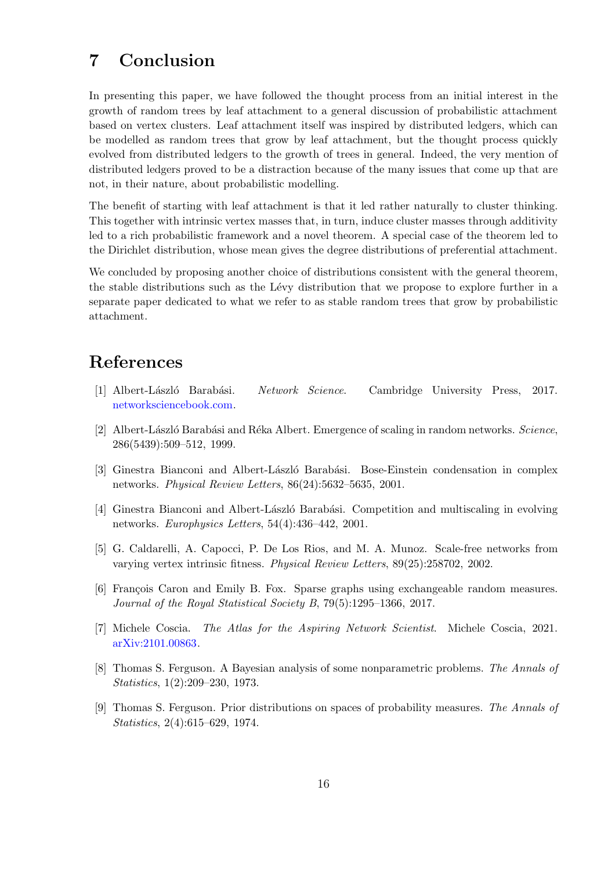# 7 Conclusion

In presenting this paper, we have followed the thought process from an initial interest in the growth of random trees by leaf attachment to a general discussion of probabilistic attachment based on vertex clusters. Leaf attachment itself was inspired by distributed ledgers, which can be modelled as random trees that grow by leaf attachment, but the thought process quickly evolved from distributed ledgers to the growth of trees in general. Indeed, the very mention of distributed ledgers proved to be a distraction because of the many issues that come up that are not, in their nature, about probabilistic modelling.

The benefit of starting with leaf attachment is that it led rather naturally to cluster thinking. This together with intrinsic vertex masses that, in turn, induce cluster masses through additivity led to a rich probabilistic framework and a novel theorem. A special case of the theorem led to the Dirichlet distribution, whose mean gives the degree distributions of preferential attachment.

We concluded by proposing another choice of distributions consistent with the general theorem, the stable distributions such as the Lévy distribution that we propose to explore further in a separate paper dedicated to what we refer to as stable random trees that grow by probabilistic attachment.

# References

- <span id="page-15-2"></span>[1] Albert-L´aszl´o Barab´asi. *Network Science*. Cambridge University Press, 2017. [networksciencebook.com.](https://networksciencebook.com)
- <span id="page-15-4"></span>[2] Albert-L´aszl´o Barab´asi and R´eka Albert. Emergence of scaling in random networks. *Science*, 286(5439):509–512, 1999.
- <span id="page-15-5"></span>[3] Ginestra Bianconi and Albert-László Barabási. Bose-Einstein condensation in complex networks. *Physical Review Letters*, 86(24):5632–5635, 2001.
- <span id="page-15-0"></span>[4] Ginestra Bianconi and Albert-László Barabási. Competition and multiscaling in evolving networks. *Europhysics Letters*, 54(4):436–442, 2001.
- <span id="page-15-6"></span>[5] G. Caldarelli, A. Capocci, P. De Los Rios, and M. A. Munoz. Scale-free networks from varying vertex intrinsic fitness. *Physical Review Letters*, 89(25):258702, 2002.
- <span id="page-15-7"></span>[6] François Caron and Emily B. Fox. Sparse graphs using exchangeable random measures. *Journal of the Royal Statistical Society B*, 79(5):1295–1366, 2017.
- <span id="page-15-3"></span>[7] Michele Coscia. *The Atlas for the Aspiring Network Scientist*. Michele Coscia, 2021. [arXiv:2101.00863.](https://arxiv.org/pdf/2101.00863)
- <span id="page-15-1"></span>[8] Thomas S. Ferguson. A Bayesian analysis of some nonparametric problems. *The Annals of Statistics*, 1(2):209–230, 1973.
- <span id="page-15-8"></span>[9] Thomas S. Ferguson. Prior distributions on spaces of probability measures. *The Annals of Statistics*, 2(4):615–629, 1974.